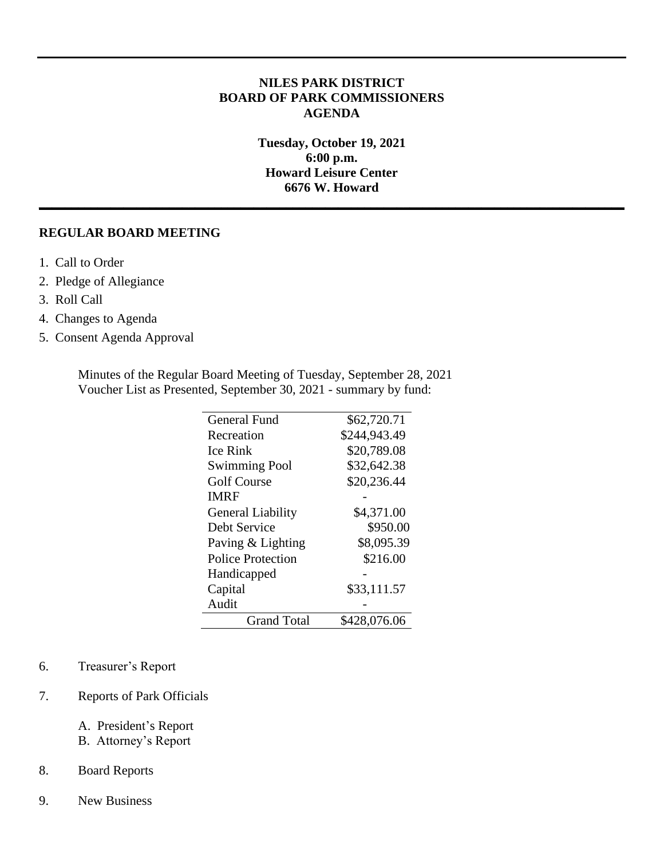# **NILES PARK DISTRICT BOARD OF PARK COMMISSIONERS AGENDA**

**Tuesday, October 19, 2021 6:00 p.m. Howard Leisure Center 6676 W. Howard \_\_\_\_\_\_\_\_\_\_\_\_\_\_\_\_\_\_\_\_\_\_\_\_\_\_\_\_\_\_\_\_\_\_\_\_\_\_\_\_\_\_\_\_\_\_\_\_\_\_\_\_\_\_\_\_\_\_\_\_\_\_\_\_\_\_\_\_\_\_\_\_\_\_\_\_\_\_\_\_\_\_\_\_\_\_\_\_\_\_**

### **REGULAR BOARD MEETING**

- 1. Call to Order
- 2. Pledge of Allegiance
- 3. Roll Call
- 4. Changes to Agenda
- 5. Consent Agenda Approval

Minutes of the Regular Board Meeting of Tuesday, September 28, 2021 Voucher List as Presented, September 30, 2021 - summary by fund:

| General Fund             | \$62,720.71  |
|--------------------------|--------------|
| Recreation               | \$244,943.49 |
| <b>Ice Rink</b>          | \$20,789.08  |
| <b>Swimming Pool</b>     | \$32,642.38  |
| <b>Golf Course</b>       | \$20,236.44  |
| <b>IMRF</b>              |              |
| <b>General Liability</b> | \$4,371.00   |
| Debt Service             | \$950.00     |
| Paving & Lighting        | \$8,095.39   |
| Police Protection        | \$216.00     |
| Handicapped              |              |
| Capital                  | \$33,111.57  |
| Audit                    |              |
| <b>Grand Total</b>       | \$428,076.06 |

#### 6. Treasurer's Report

## 7. Reports of Park Officials

- A. President's Report
- B. Attorney's Report

### 8. Board Reports

9. New Business